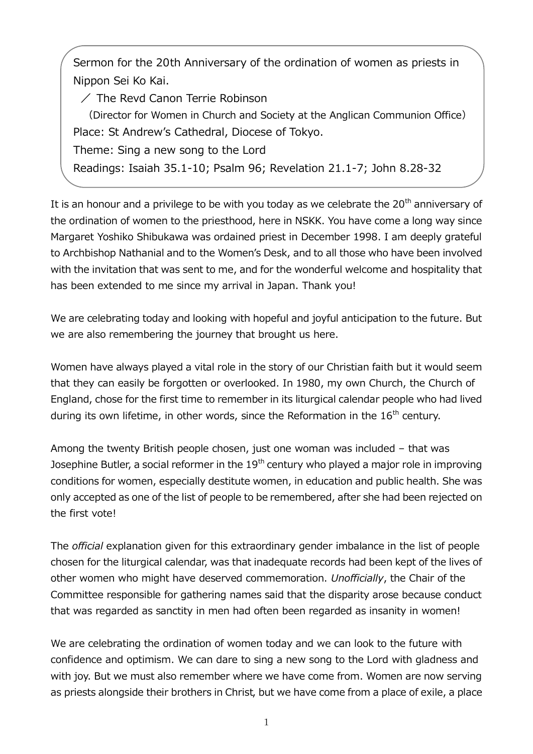Sermon for the 20th Anniversary of the ordination of women as priests in Nippon Sei Ko Kai.

 $\angle$  The Revd Canon Terrie Robinson

(Director for Women in Church and Society at the Anglican Communion Office) Place: St Andrew's Cathedral, Diocese of Tokyo.

Theme: Sing a new song to the Lord

Readings: Isaiah 35.1-10; Psalm 96; Revelation 21.1-7; John 8.28-32

It is an honour and a privilege to be with you today as we celebrate the  $20<sup>th</sup>$  anniversary of the ordination of women to the priesthood, here in NSKK. You have come a long way since Margaret Yoshiko Shibukawa was ordained priest in December 1998. I am deeply grateful to Archbishop Nathanial and to the Women's Desk, and to all those who have been involved with the invitation that was sent to me, and for the wonderful welcome and hospitality that has been extended to me since my arrival in Japan. Thank you!

We are celebrating today and looking with hopeful and joyful anticipation to the future. But we are also remembering the journey that brought us here.

Women have always played a vital role in the story of our Christian faith but it would seem that they can easily be forgotten or overlooked. In 1980, my own Church, the Church of England, chose for the first time to remember in its liturgical calendar people who had lived during its own lifetime, in other words, since the Reformation in the  $16<sup>th</sup>$  century.

Among the twenty British people chosen, just one woman was included – that was Josephine Butler, a social reformer in the 19<sup>th</sup> century who played a major role in improving conditions for women, especially destitute women, in education and public health. She was only accepted as one of the list of people to be remembered, after she had been rejected on the first vote!

The *official* explanation given for this extraordinary gender imbalance in the list of people chosen for the liturgical calendar, was that inadequate records had been kept of the lives of other women who might have deserved commemoration. *Unofficially*, the Chair of the Committee responsible for gathering names said that the disparity arose because conduct that was regarded as sanctity in men had often been regarded as insanity in women!

We are celebrating the ordination of women today and we can look to the future with confidence and optimism. We can dare to sing a new song to the Lord with gladness and with joy. But we must also remember where we have come from. Women are now serving as priests alongside their brothers in Christ, but we have come from a place of exile, a place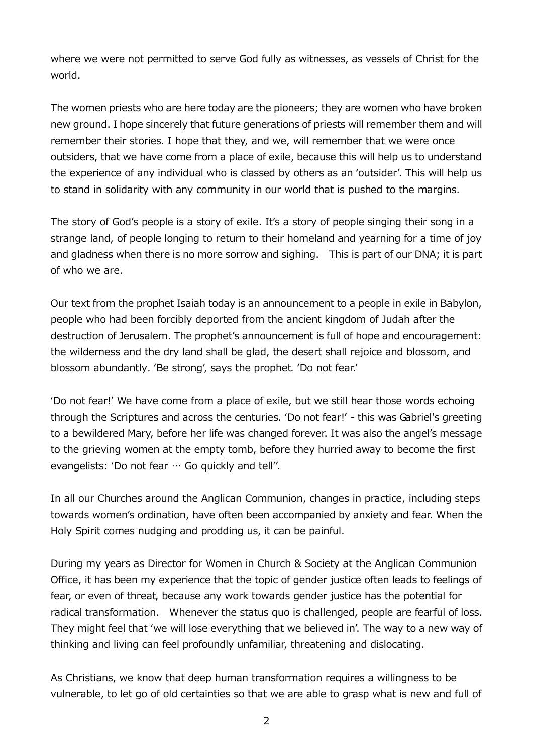where we were not permitted to serve God fully as witnesses, as vessels of Christ for the world.

The women priests who are here today are the pioneers; they are women who have broken new ground. I hope sincerely that future generations of priests will remember them and will remember their stories. I hope that they, and we, will remember that we were once outsiders, that we have come from a place of exile, because this will help us to understand the experience of any individual who is classed by others as an 'outsider'. This will help us to stand in solidarity with any community in our world that is pushed to the margins.

The story of God's people is a story of exile. It's a story of people singing their song in a strange land, of people longing to return to their homeland and yearning for a time of joy and gladness when there is no more sorrow and sighing. This is part of our DNA; it is part of who we are.

Our text from the prophet Isaiah today is an announcement to a people in exile in Babylon, people who had been forcibly deported from the ancient kingdom of Judah after the destruction of Jerusalem. The prophet's announcement is full of hope and encouragement: the wilderness and the dry land shall be glad, the desert shall rejoice and blossom, and blossom abundantly. 'Be strong', says the prophet. 'Do not fear.'

'Do not fear!' We have come from a place of exile, but we still hear those words echoing through the Scriptures and across the centuries. 'Do not fear!' - this was Gabriel's greeting to a bewildered Mary, before her life was changed forever. It was also the angel's message to the grieving women at the empty tomb, before they hurried away to become the first evangelists: 'Do not fear … Go quickly and tell''.

In all our Churches around the Anglican Communion, changes in practice, including steps towards women's ordination, have often been accompanied by anxiety and fear. When the Holy Spirit comes nudging and prodding us, it can be painful.

During my years as Director for Women in Church & Society at the Anglican Communion Office, it has been my experience that the topic of gender justice often leads to feelings of fear, or even of threat, because any work towards gender justice has the potential for radical transformation. Whenever the status quo is challenged, people are fearful of loss. They might feel that 'we will lose everything that we believed in'. The way to a new way of thinking and living can feel profoundly unfamiliar, threatening and dislocating.

As Christians, we know that deep human transformation requires a willingness to be vulnerable, to let go of old certainties so that we are able to grasp what is new and full of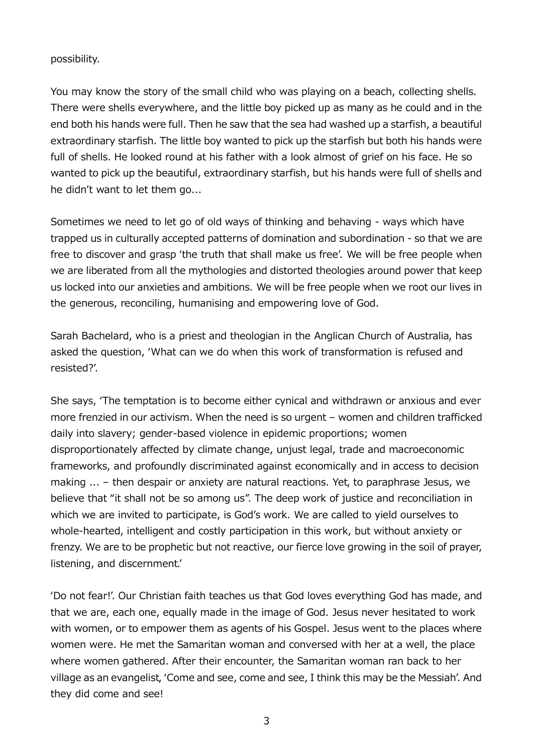## possibility.

You may know the story of the small child who was playing on a beach, collecting shells. There were shells everywhere, and the little boy picked up as many as he could and in the end both his hands were full. Then he saw that the sea had washed up a starfish, a beautiful extraordinary starfish. The little boy wanted to pick up the starfish but both his hands were full of shells. He looked round at his father with a look almost of grief on his face. He so wanted to pick up the beautiful, extraordinary starfish, but his hands were full of shells and he didn't want to let them go...

Sometimes we need to let go of old ways of thinking and behaving - ways which have trapped us in culturally accepted patterns of domination and subordination - so that we are free to discover and grasp 'the truth that shall make us free'. We will be free people when we are liberated from all the mythologies and distorted theologies around power that keep us locked into our anxieties and ambitions. We will be free people when we root our lives in the generous, reconciling, humanising and empowering love of God.

Sarah Bachelard, who is a priest and theologian in the Anglican Church of Australia, has asked the question, 'What can we do when this work of transformation is refused and resisted?'.

She says, 'The temptation is to become either cynical and withdrawn or anxious and ever more frenzied in our activism. When the need is so urgent – women and children trafficked daily into slavery; gender-based violence in epidemic proportions; women disproportionately affected by climate change, unjust legal, trade and macroeconomic frameworks, and profoundly discriminated against economically and in access to decision making ... – then despair or anxiety are natural reactions. Yet, to paraphrase Jesus, we believe that "it shall not be so among us". The deep work of justice and reconciliation in which we are invited to participate, is God's work. We are called to yield ourselves to whole-hearted, intelligent and costly participation in this work, but without anxiety or frenzy. We are to be prophetic but not reactive, our fierce love growing in the soil of prayer, listening, and discernment.'

'Do not fear!'. Our Christian faith teaches us that God loves everything God has made, and that we are, each one, equally made in the image of God. Jesus never hesitated to work with women, or to empower them as agents of his Gospel. Jesus went to the places where women were. He met the Samaritan woman and conversed with her at a well, the place where women gathered. After their encounter, the Samaritan woman ran back to her village as an evangelist, 'Come and see, come and see, I think this may be the Messiah'. And they did come and see!